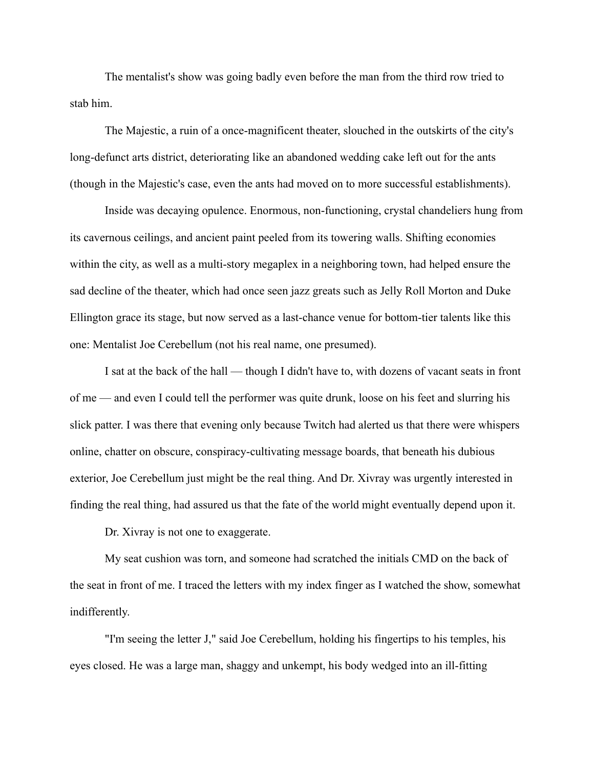The mentalist's show was going badly even before the man from the third row tried to stab him.

The Majestic, a ruin of a once-magnificent theater, slouched in the outskirts of the city's long-defunct arts district, deteriorating like an abandoned wedding cake left out for the ants (though in the Majestic's case, even the ants had moved on to more successful establishments).

Inside was decaying opulence. Enormous, non-functioning, crystal chandeliers hung from its cavernous ceilings, and ancient paint peeled from its towering walls. Shifting economies within the city, as well as a multi-story megaplex in a neighboring town, had helped ensure the sad decline of the theater, which had once seen jazz greats such as Jelly Roll Morton and Duke Ellington grace its stage, but now served as a last-chance venue for bottom-tier talents like this one: Mentalist Joe Cerebellum (not his real name, one presumed).

I sat at the back of the hall — though I didn't have to, with dozens of vacant seats in front of me — and even I could tell the performer was quite drunk, loose on his feet and slurring his slick patter. I was there that evening only because Twitch had alerted us that there were whispers online, chatter on obscure, conspiracy-cultivating message boards, that beneath his dubious exterior, Joe Cerebellum just might be the real thing. And Dr. Xivray was urgently interested in finding the real thing, had assured us that the fate of the world might eventually depend upon it.

Dr. Xivray is not one to exaggerate.

My seat cushion was torn, and someone had scratched the initials CMD on the back of the seat in front of me. I traced the letters with my index finger as I watched the show, somewhat indifferently.

"I'm seeing the letter J," said Joe Cerebellum, holding his fingertips to his temples, his eyes closed. He was a large man, shaggy and unkempt, his body wedged into an ill-fitting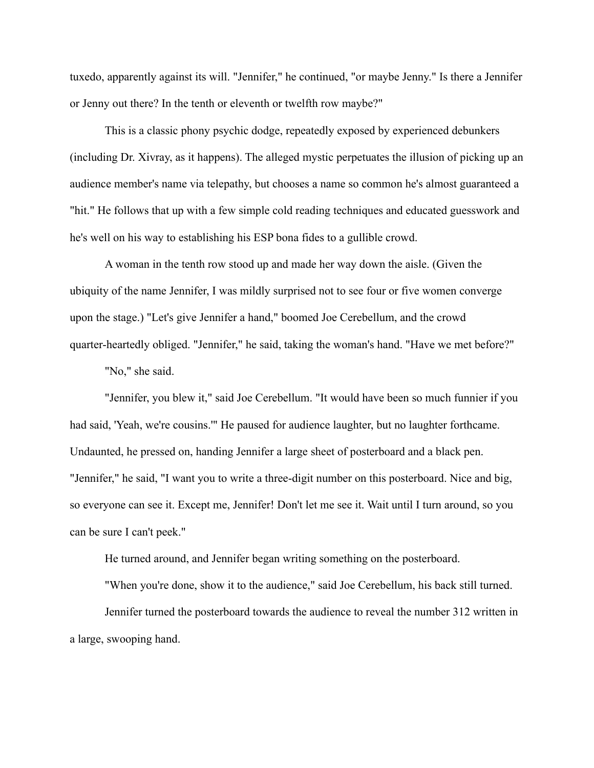tuxedo, apparently against its will. "Jennifer," he continued, "or maybe Jenny." Is there a Jennifer or Jenny out there? In the tenth or eleventh or twelfth row maybe?"

This is a classic phony psychic dodge, repeatedly exposed by experienced debunkers (including Dr. Xivray, as it happens). The alleged mystic perpetuates the illusion of picking up an audience member's name via telepathy, but chooses a name so common he's almost guaranteed a "hit." He follows that up with a few simple cold reading techniques and educated guesswork and he's well on his way to establishing his ESP bona fides to a gullible crowd.

A woman in the tenth row stood up and made her way down the aisle. (Given the ubiquity of the name Jennifer, I was mildly surprised not to see four or five women converge upon the stage.) "Let's give Jennifer a hand," boomed Joe Cerebellum, and the crowd quarter-heartedly obliged. "Jennifer," he said, taking the woman's hand. "Have we met before?"

"No," she said.

"Jennifer, you blew it," said Joe Cerebellum. "It would have been so much funnier if you had said, 'Yeah, we're cousins.'" He paused for audience laughter, but no laughter forthcame. Undaunted, he pressed on, handing Jennifer a large sheet of posterboard and a black pen. "Jennifer," he said, "I want you to write a three-digit number on this posterboard. Nice and big, so everyone can see it. Except me, Jennifer! Don't let me see it. Wait until I turn around, so you can be sure I can't peek."

He turned around, and Jennifer began writing something on the posterboard.

"When you're done, show it to the audience," said Joe Cerebellum, his back still turned.

Jennifer turned the posterboard towards the audience to reveal the number 312 written in a large, swooping hand.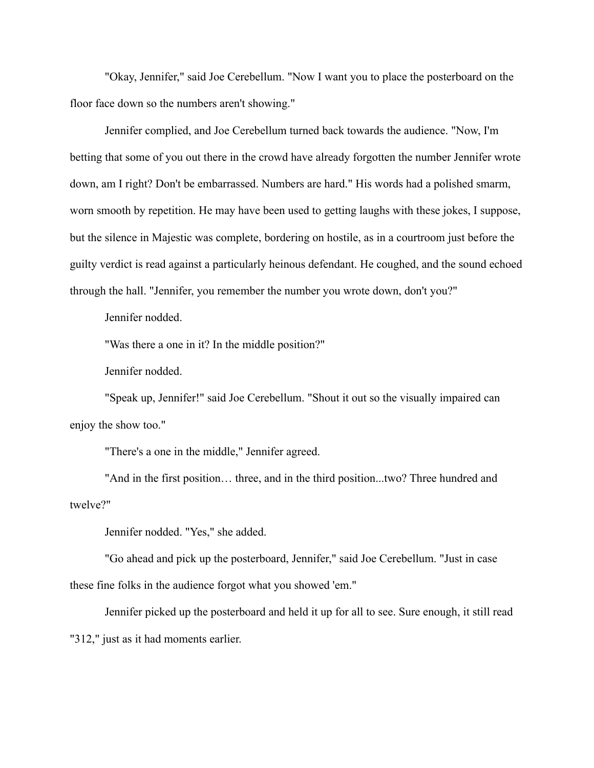"Okay, Jennifer," said Joe Cerebellum. "Now I want you to place the posterboard on the floor face down so the numbers aren't showing."

Jennifer complied, and Joe Cerebellum turned back towards the audience. "Now, I'm betting that some of you out there in the crowd have already forgotten the number Jennifer wrote down, am I right? Don't be embarrassed. Numbers are hard." His words had a polished smarm, worn smooth by repetition. He may have been used to getting laughs with these jokes, I suppose, but the silence in Majestic was complete, bordering on hostile, as in a courtroom just before the guilty verdict is read against a particularly heinous defendant. He coughed, and the sound echoed through the hall. "Jennifer, you remember the number you wrote down, don't you?"

Jennifer nodded.

"Was there a one in it? In the middle position?"

Jennifer nodded.

"Speak up, Jennifer!" said Joe Cerebellum. "Shout it out so the visually impaired can enjoy the show too."

"There's a one in the middle," Jennifer agreed.

"And in the first position… three, and in the third position...two? Three hundred and twelve?"

Jennifer nodded. "Yes," she added.

"Go ahead and pick up the posterboard, Jennifer," said Joe Cerebellum. "Just in case these fine folks in the audience forgot what you showed 'em."

Jennifer picked up the posterboard and held it up for all to see. Sure enough, it still read "312," just as it had moments earlier.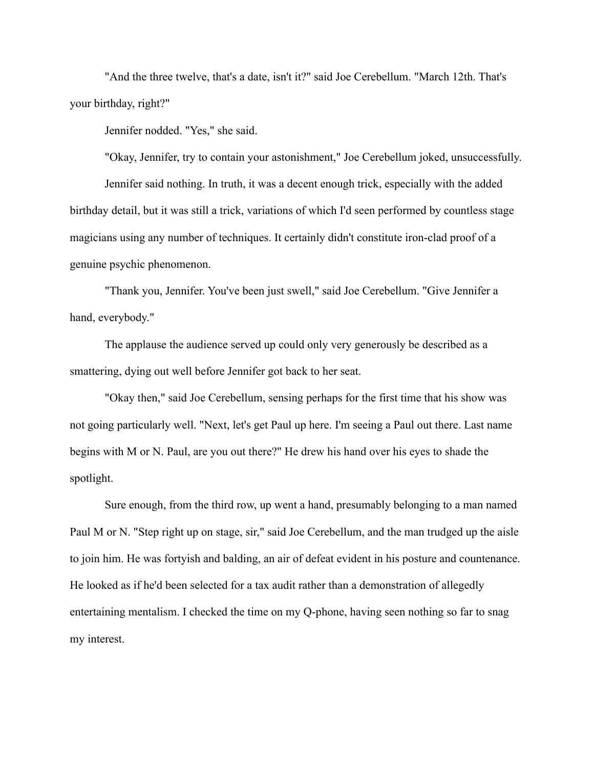"And the three twelve, that's a date, isn't it?" said Joe Cerebellum. "March 12th. That's your birthday, right?"

Jennifer nodded. "Yes," she said.

"Okay, Jennifer, try to contain your astonishment," Joe Cerebellum joked, unsuccessfully. Jennifer said nothing. In truth, it was a decent enough trick, especially with the added birthday detail, but it was still a trick, variations of which I'd seen performed by countless stage magicians using any number of techniques. It certainly didn't constitute iron-clad proof of a genuine psychic phenomenon.

"Thank you, Jennifer. You've been just swell," said Joe Cerebellum. "Give Jennifer a hand, everybody."

The applause the audience served up could only very generously be described as a smattering, dying out well before Jennifer got back to her seat.

"Okay then," said Joe Cerebellum, sensing perhaps for the first time that his show was not going particularly well. "Next, let's get Paul up here. I'm seeing a Paul out there. Last name begins with M or N. Paul, are you out there?" He drew his hand over his eyes to shade the spotlight.

Sure enough, from the third row, up went a hand, presumably belonging to a man named Paul M or N. "Step right up on stage, sir," said Joe Cerebellum, and the man trudged up the aisle to join him. He was fortyish and balding, an air of defeat evident in his posture and countenance. He looked as if he'd been selected for a tax audit rather than a demonstration of allegedly entertaining mentalism. I checked the time on my Q-phone, having seen nothing so far to snag my interest.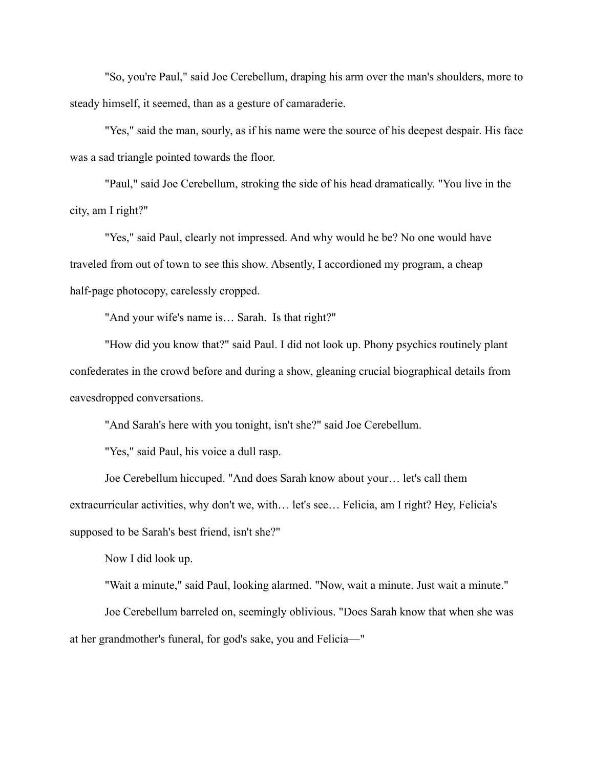"So, you're Paul," said Joe Cerebellum, draping his arm over the man's shoulders, more to steady himself, it seemed, than as a gesture of camaraderie.

"Yes," said the man, sourly, as if his name were the source of his deepest despair. His face was a sad triangle pointed towards the floor.

"Paul," said Joe Cerebellum, stroking the side of his head dramatically. "You live in the city, am I right?"

"Yes," said Paul, clearly not impressed. And why would he be? No one would have traveled from out of town to see this show. Absently, I accordioned my program, a cheap half-page photocopy, carelessly cropped.

"And your wife's name is… Sarah. Is that right?"

"How did you know that?" said Paul. I did not look up. Phony psychics routinely plant confederates in the crowd before and during a show, gleaning crucial biographical details from eavesdropped conversations.

"And Sarah's here with you tonight, isn't she?" said Joe Cerebellum.

"Yes," said Paul, his voice a dull rasp.

Joe Cerebellum hiccuped. "And does Sarah know about your… let's call them extracurricular activities, why don't we, with… let's see… Felicia, am I right? Hey, Felicia's supposed to be Sarah's best friend, isn't she?"

Now I did look up.

"Wait a minute," said Paul, looking alarmed. "Now, wait a minute. Just wait a minute." Joe Cerebellum barreled on, seemingly oblivious. "Does Sarah know that when she was at her grandmother's funeral, for god's sake, you and Felicia—"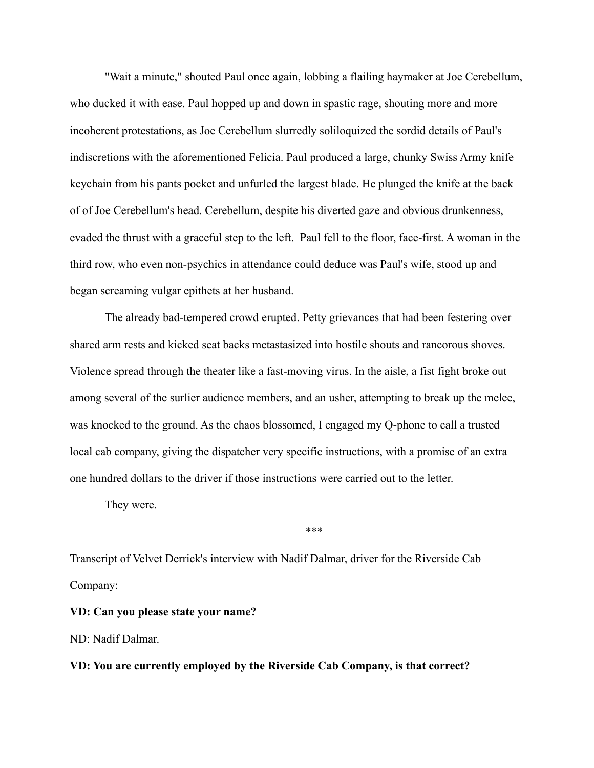"Wait a minute," shouted Paul once again, lobbing a flailing haymaker at Joe Cerebellum, who ducked it with ease. Paul hopped up and down in spastic rage, shouting more and more incoherent protestations, as Joe Cerebellum slurredly soliloquized the sordid details of Paul's indiscretions with the aforementioned Felicia. Paul produced a large, chunky Swiss Army knife keychain from his pants pocket and unfurled the largest blade. He plunged the knife at the back of of Joe Cerebellum's head. Cerebellum, despite his diverted gaze and obvious drunkenness, evaded the thrust with a graceful step to the left. Paul fell to the floor, face-first. A woman in the third row, who even non-psychics in attendance could deduce was Paul's wife, stood up and began screaming vulgar epithets at her husband.

The already bad-tempered crowd erupted. Petty grievances that had been festering over shared arm rests and kicked seat backs metastasized into hostile shouts and rancorous shoves. Violence spread through the theater like a fast-moving virus. In the aisle, a fist fight broke out among several of the surlier audience members, and an usher, attempting to break up the melee, was knocked to the ground. As the chaos blossomed, I engaged my Q-phone to call a trusted local cab company, giving the dispatcher very specific instructions, with a promise of an extra one hundred dollars to the driver if those instructions were carried out to the letter.

They were.

\*\*\*

Transcript of Velvet Derrick's interview with Nadif Dalmar, driver for the Riverside Cab Company:

**VD: Can you please state your name?**

ND: Nadif Dalmar.

**VD: You are currently employed by the Riverside Cab Company, is that correct?**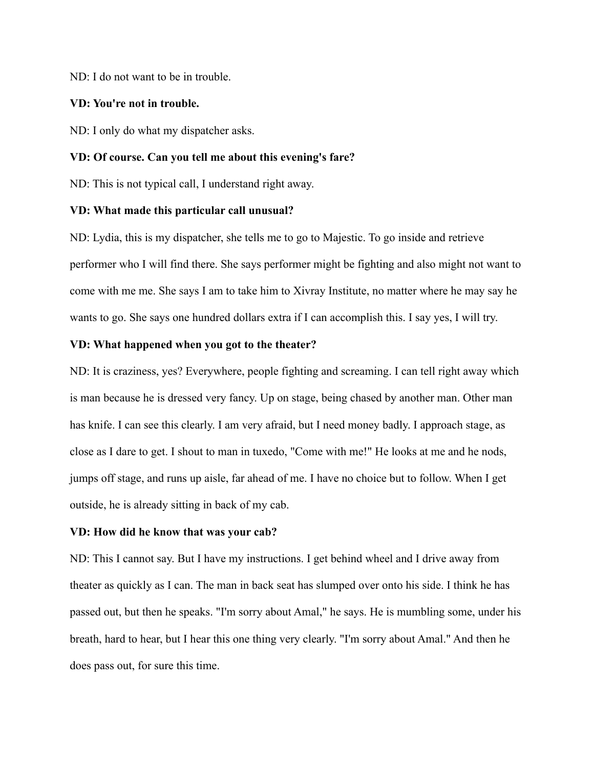ND: I do not want to be in trouble.

#### **VD: You're not in trouble.**

ND: I only do what my dispatcher asks.

## **VD: Of course. Can you tell me about this evening's fare?**

ND: This is not typical call, I understand right away.

## **VD: What made this particular call unusual?**

ND: Lydia, this is my dispatcher, she tells me to go to Majestic. To go inside and retrieve performer who I will find there. She says performer might be fighting and also might not want to come with me me. She says I am to take him to Xivray Institute, no matter where he may say he wants to go. She says one hundred dollars extra if I can accomplish this. I say yes, I will try.

## **VD: What happened when you got to the theater?**

ND: It is craziness, yes? Everywhere, people fighting and screaming. I can tell right away which is man because he is dressed very fancy. Up on stage, being chased by another man. Other man has knife. I can see this clearly. I am very afraid, but I need money badly. I approach stage, as close as I dare to get. I shout to man in tuxedo, "Come with me!" He looks at me and he nods, jumps off stage, and runs up aisle, far ahead of me. I have no choice but to follow. When I get outside, he is already sitting in back of my cab.

#### **VD: How did he know that was your cab?**

ND: This I cannot say. But I have my instructions. I get behind wheel and I drive away from theater as quickly as I can. The man in back seat has slumped over onto his side. I think he has passed out, but then he speaks. "I'm sorry about Amal," he says. He is mumbling some, under his breath, hard to hear, but I hear this one thing very clearly. "I'm sorry about Amal." And then he does pass out, for sure this time.